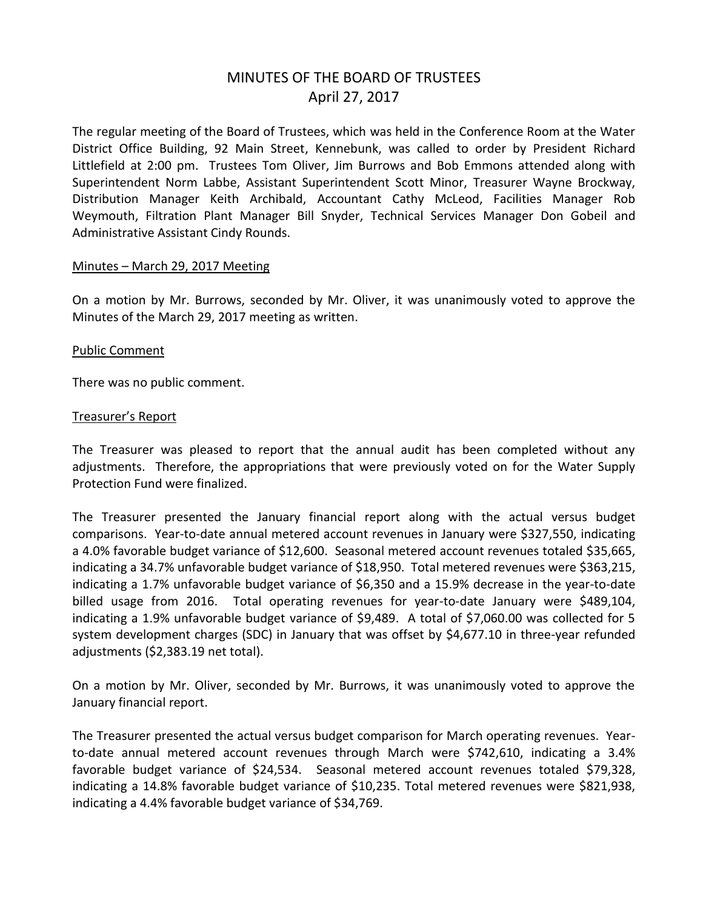# MINUTES OF THE BOARD OF TRUSTEES April 27, 2017

The regular meeting of the Board of Trustees, which was held in the Conference Room at the Water District Office Building, 92 Main Street, Kennebunk, was called to order by President Richard Littlefield at 2:00 pm. Trustees Tom Oliver, Jim Burrows and Bob Emmons attended along with Superintendent Norm Labbe, Assistant Superintendent Scott Minor, Treasurer Wayne Brockway, Distribution Manager Keith Archibald, Accountant Cathy McLeod, Facilities Manager Rob Weymouth, Filtration Plant Manager Bill Snyder, Technical Services Manager Don Gobeil and Administrative Assistant Cindy Rounds.

## Minutes – March 29, 2017 Meeting

On a motion by Mr. Burrows, seconded by Mr. Oliver, it was unanimously voted to approve the Minutes of the March 29, 2017 meeting as written.

## Public Comment

There was no public comment.

#### Treasurer's Report

The Treasurer was pleased to report that the annual audit has been completed without any adjustments. Therefore, the appropriations that were previously voted on for the Water Supply Protection Fund were finalized.

The Treasurer presented the January financial report along with the actual versus budget comparisons. Year-to-date annual metered account revenues in January were \$327,550, indicating a 4.0% favorable budget variance of \$12,600. Seasonal metered account revenues totaled \$35,665, indicating a 34.7% unfavorable budget variance of \$18,950. Total metered revenues were \$363,215, indicating a 1.7% unfavorable budget variance of \$6,350 and a 15.9% decrease in the year-to-date billed usage from 2016. Total operating revenues for year-to-date January were \$489,104, indicating a 1.9% unfavorable budget variance of \$9,489. A total of \$7,060.00 was collected for 5 system development charges (SDC) in January that was offset by \$4,677.10 in three-year refunded adjustments (\$2,383.19 net total).

On a motion by Mr. Oliver, seconded by Mr. Burrows, it was unanimously voted to approve the January financial report.

The Treasurer presented the actual versus budget comparison for March operating revenues. Yearto-date annual metered account revenues through March were \$742,610, indicating a 3.4% favorable budget variance of \$24,534. Seasonal metered account revenues totaled \$79,328, indicating a 14.8% favorable budget variance of \$10,235. Total metered revenues were \$821,938, indicating a 4.4% favorable budget variance of \$34,769.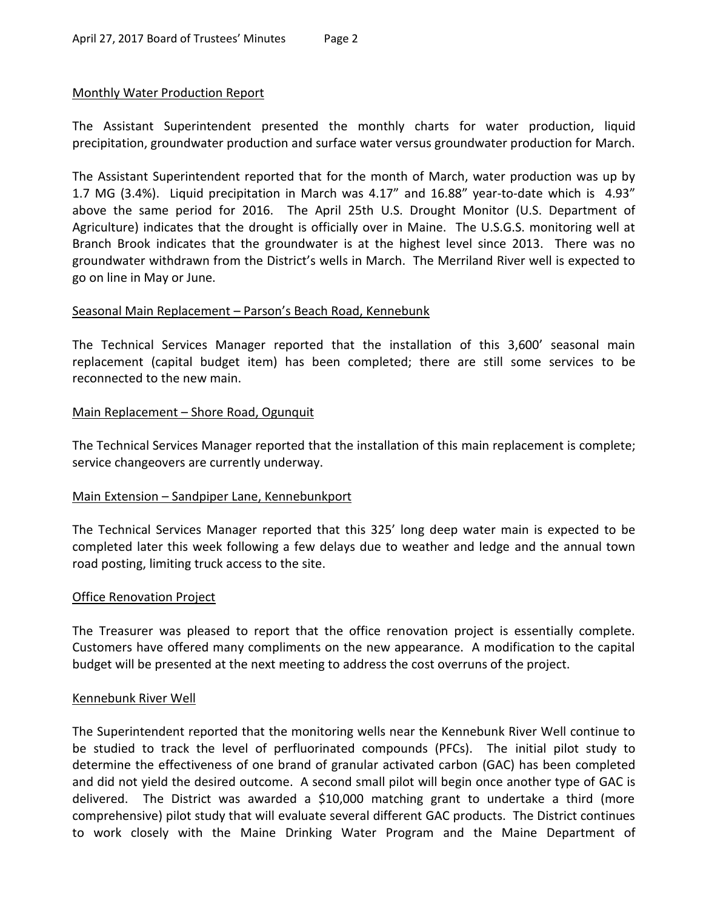## Monthly Water Production Report

The Assistant Superintendent presented the monthly charts for water production, liquid precipitation, groundwater production and surface water versus groundwater production for March.

The Assistant Superintendent reported that for the month of March, water production was up by 1.7 MG (3.4%). Liquid precipitation in March was 4.17" and 16.88" year-to-date which is 4.93" above the same period for 2016. The April 25th U.S. Drought Monitor (U.S. Department of Agriculture) indicates that the drought is officially over in Maine. The U.S.G.S. monitoring well at Branch Brook indicates that the groundwater is at the highest level since 2013. There was no groundwater withdrawn from the District's wells in March. The Merriland River well is expected to go on line in May or June.

## Seasonal Main Replacement – Parson's Beach Road, Kennebunk

The Technical Services Manager reported that the installation of this 3,600' seasonal main replacement (capital budget item) has been completed; there are still some services to be reconnected to the new main.

## Main Replacement – Shore Road, Ogunquit

The Technical Services Manager reported that the installation of this main replacement is complete; service changeovers are currently underway.

## Main Extension – Sandpiper Lane, Kennebunkport

The Technical Services Manager reported that this 325' long deep water main is expected to be completed later this week following a few delays due to weather and ledge and the annual town road posting, limiting truck access to the site.

## Office Renovation Project

The Treasurer was pleased to report that the office renovation project is essentially complete. Customers have offered many compliments on the new appearance. A modification to the capital budget will be presented at the next meeting to address the cost overruns of the project.

## Kennebunk River Well

The Superintendent reported that the monitoring wells near the Kennebunk River Well continue to be studied to track the level of perfluorinated compounds (PFCs). The initial pilot study to determine the effectiveness of one brand of granular activated carbon (GAC) has been completed and did not yield the desired outcome. A second small pilot will begin once another type of GAC is delivered. The District was awarded a \$10,000 matching grant to undertake a third (more comprehensive) pilot study that will evaluate several different GAC products. The District continues to work closely with the Maine Drinking Water Program and the Maine Department of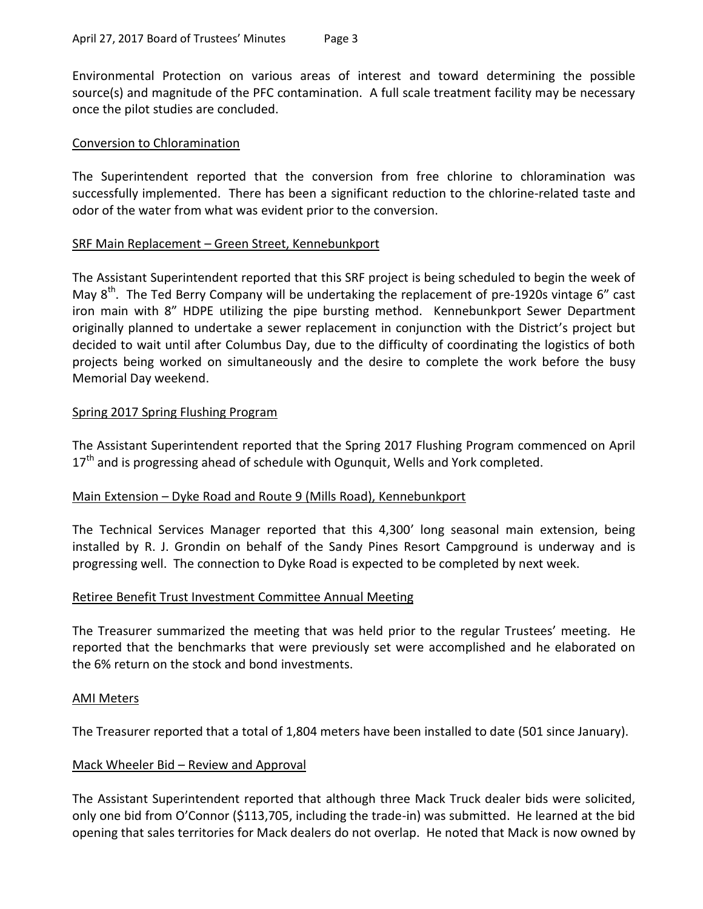Environmental Protection on various areas of interest and toward determining the possible source(s) and magnitude of the PFC contamination. A full scale treatment facility may be necessary once the pilot studies are concluded.

# Conversion to Chloramination

The Superintendent reported that the conversion from free chlorine to chloramination was successfully implemented. There has been a significant reduction to the chlorine-related taste and odor of the water from what was evident prior to the conversion.

## SRF Main Replacement – Green Street, Kennebunkport

The Assistant Superintendent reported that this SRF project is being scheduled to begin the week of May 8<sup>th</sup>. The Ted Berry Company will be undertaking the replacement of pre-1920s vintage 6" cast iron main with 8" HDPE utilizing the pipe bursting method. Kennebunkport Sewer Department originally planned to undertake a sewer replacement in conjunction with the District's project but decided to wait until after Columbus Day, due to the difficulty of coordinating the logistics of both projects being worked on simultaneously and the desire to complete the work before the busy Memorial Day weekend.

# Spring 2017 Spring Flushing Program

The Assistant Superintendent reported that the Spring 2017 Flushing Program commenced on April 17<sup>th</sup> and is progressing ahead of schedule with Ogunquit, Wells and York completed.

# Main Extension - Dyke Road and Route 9 (Mills Road), Kennebunkport

The Technical Services Manager reported that this 4,300' long seasonal main extension, being installed by R. J. Grondin on behalf of the Sandy Pines Resort Campground is underway and is progressing well. The connection to Dyke Road is expected to be completed by next week.

## Retiree Benefit Trust Investment Committee Annual Meeting

The Treasurer summarized the meeting that was held prior to the regular Trustees' meeting. He reported that the benchmarks that were previously set were accomplished and he elaborated on the 6% return on the stock and bond investments.

## AMI Meters

The Treasurer reported that a total of 1,804 meters have been installed to date (501 since January).

# Mack Wheeler Bid – Review and Approval

The Assistant Superintendent reported that although three Mack Truck dealer bids were solicited, only one bid from O'Connor (\$113,705, including the trade-in) was submitted. He learned at the bid opening that sales territories for Mack dealers do not overlap. He noted that Mack is now owned by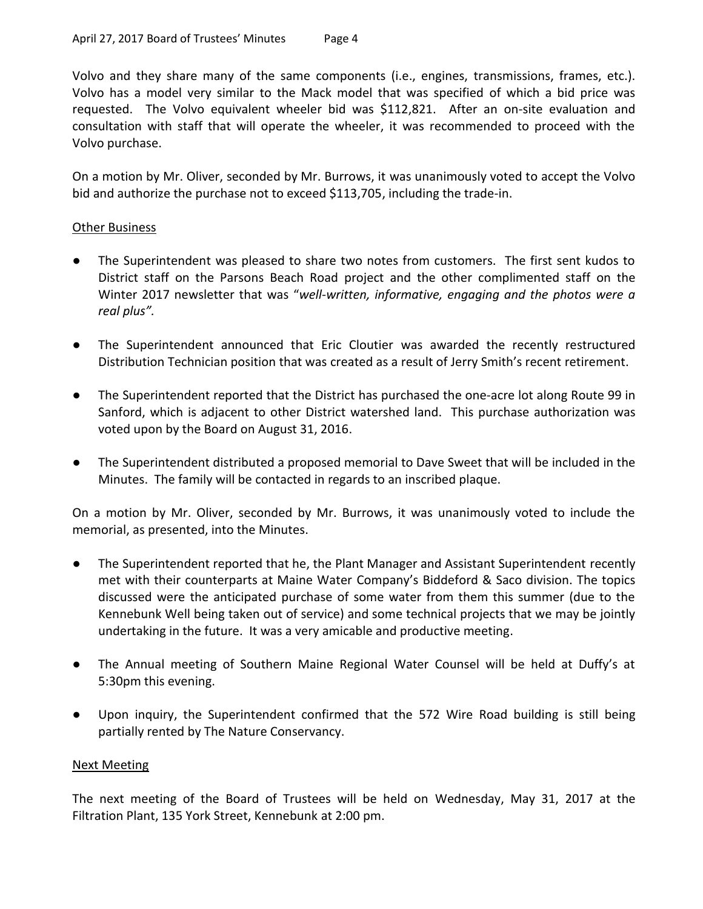Volvo and they share many of the same components (i.e., engines, transmissions, frames, etc.). Volvo has a model very similar to the Mack model that was specified of which a bid price was requested. The Volvo equivalent wheeler bid was \$112,821. After an on-site evaluation and consultation with staff that will operate the wheeler, it was recommended to proceed with the Volvo purchase.

On a motion by Mr. Oliver, seconded by Mr. Burrows, it was unanimously voted to accept the Volvo bid and authorize the purchase not to exceed \$113,705, including the trade-in.

# **Other Business**

- The Superintendent was pleased to share two notes from customers. The first sent kudos to District staff on the Parsons Beach Road project and the other complimented staff on the Winter 2017 newsletter that was "*well-written, informative, engaging and the photos were a real plus".*
- The Superintendent announced that Eric Cloutier was awarded the recently restructured Distribution Technician position that was created as a result of Jerry Smith's recent retirement.
- The Superintendent reported that the District has purchased the one-acre lot along Route 99 in Sanford, which is adjacent to other District watershed land. This purchase authorization was voted upon by the Board on August 31, 2016.
- The Superintendent distributed a proposed memorial to Dave Sweet that will be included in the Minutes. The family will be contacted in regards to an inscribed plaque.

On a motion by Mr. Oliver, seconded by Mr. Burrows, it was unanimously voted to include the memorial, as presented, into the Minutes.

- The Superintendent reported that he, the Plant Manager and Assistant Superintendent recently met with their counterparts at Maine Water Company's Biddeford & Saco division. The topics discussed were the anticipated purchase of some water from them this summer (due to the Kennebunk Well being taken out of service) and some technical projects that we may be jointly undertaking in the future. It was a very amicable and productive meeting.
- The Annual meeting of Southern Maine Regional Water Counsel will be held at Duffy's at 5:30pm this evening.
- Upon inquiry, the Superintendent confirmed that the 572 Wire Road building is still being partially rented by The Nature Conservancy.

## Next Meeting

The next meeting of the Board of Trustees will be held on Wednesday, May 31, 2017 at the Filtration Plant, 135 York Street, Kennebunk at 2:00 pm.